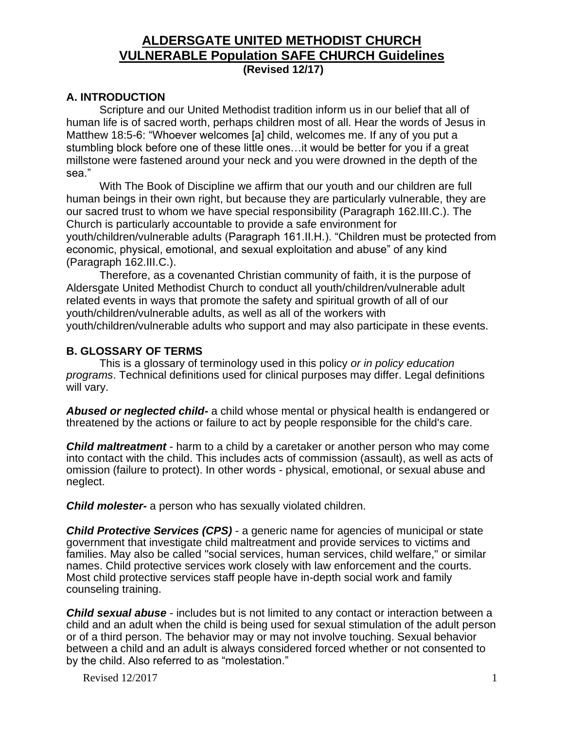#### **A. INTRODUCTION**

Scripture and our United Methodist tradition inform us in our belief that all of human life is of sacred worth, perhaps children most of all. Hear the words of Jesus in Matthew 18:5-6: "Whoever welcomes [a] child, welcomes me. If any of you put a stumbling block before one of these little ones…it would be better for you if a great millstone were fastened around your neck and you were drowned in the depth of the sea."

With The Book of Discipline we affirm that our youth and our children are full human beings in their own right, but because they are particularly vulnerable, they are our sacred trust to whom we have special responsibility (Paragraph 162.III.C.). The Church is particularly accountable to provide a safe environment for youth/children/vulnerable adults (Paragraph 161.II.H.). "Children must be protected from economic, physical, emotional, and sexual exploitation and abuse" of any kind (Paragraph 162.III.C.).

Therefore, as a covenanted Christian community of faith, it is the purpose of Aldersgate United Methodist Church to conduct all youth/children/vulnerable adult related events in ways that promote the safety and spiritual growth of all of our youth/children/vulnerable adults, as well as all of the workers with youth/children/vulnerable adults who support and may also participate in these events.

#### **B. GLOSSARY OF TERMS**

This is a glossary of terminology used in this policy *or in policy education programs*. Technical definitions used for clinical purposes may differ. Legal definitions will vary.

*Abused or neglected child-* a child whose mental or physical health is endangered or threatened by the actions or failure to act by people responsible for the child's care.

*Child maltreatment* - harm to a child by a caretaker or another person who may come into contact with the child. This includes acts of commission (assault), as well as acts of omission (failure to protect). In other words - physical, emotional, or sexual abuse and neglect.

*Child molester-* a person who has sexually violated children.

*Child Protective Services (CPS)* - a generic name for agencies of municipal or state government that investigate child maltreatment and provide services to victims and families. May also be called "social services, human services, child welfare," or similar names. Child protective services work closely with law enforcement and the courts. Most child protective services staff people have in-depth social work and family counseling training.

*Child sexual abuse* - includes but is not limited to any contact or interaction between a child and an adult when the child is being used for sexual stimulation of the adult person or of a third person. The behavior may or may not involve touching. Sexual behavior between a child and an adult is always considered forced whether or not consented to by the child. Also referred to as "molestation."

Revised  $12/2017$  1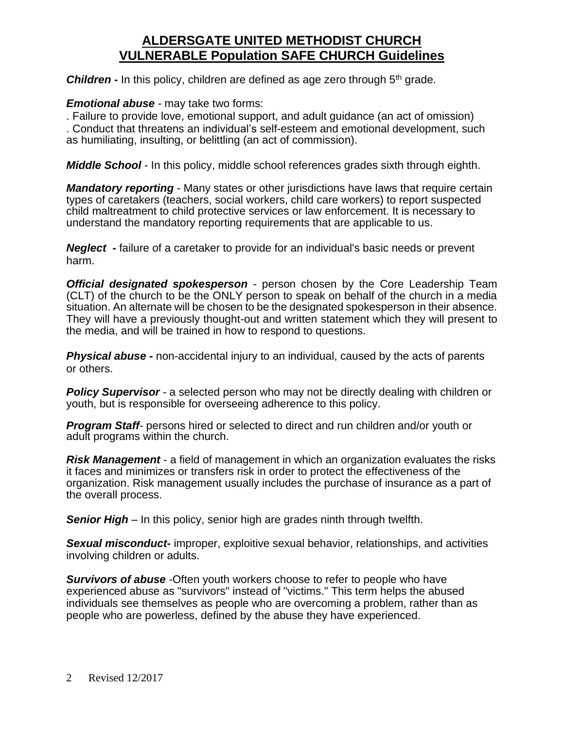**Children** - In this policy, children are defined as age zero through 5<sup>th</sup> grade.

#### *Emotional abuse* - may take two forms:

. Failure to provide love, emotional support, and adult guidance (an act of omission) . Conduct that threatens an individual's self-esteem and emotional development, such as humiliating, insulting, or belittling (an act of commission).

*Middle School* - In this policy, middle school references grades sixth through eighth.

*Mandatory reporting* - Many states or other jurisdictions have laws that require certain types of caretakers (teachers, social workers, child care workers) to report suspected child maltreatment to child protective services or law enforcement. It is necessary to understand the mandatory reporting requirements that are applicable to us.

*Neglect -* failure of a caretaker to provide for an individual's basic needs or prevent harm.

*Official designated spokesperson* - person chosen by the Core Leadership Team (CLT) of the church to be the ONLY person to speak on behalf of the church in a media situation. An alternate will be chosen to be the designated spokesperson in their absence. They will have a previously thought-out and written statement which they will present to the media, and will be trained in how to respond to questions.

*Physical abuse -* non-accidental injury to an individual, caused by the acts of parents or others.

**Policy Supervisor** - a selected person who may not be directly dealing with children or youth, but is responsible for overseeing adherence to this policy.

*Program Staff-* persons hired or selected to direct and run children and/or youth or adult programs within the church.

*Risk Management* - a field of management in which an organization evaluates the risks it faces and minimizes or transfers risk in order to protect the effectiveness of the organization. Risk management usually includes the purchase of insurance as a part of the overall process.

*Senior High* – In this policy, senior high are grades ninth through twelfth.

*Sexual misconduct-* improper, exploitive sexual behavior, relationships, and activities involving children or adults.

*Survivors of abuse* -Often youth workers choose to refer to people who have experienced abuse as "survivors" instead of "victims." This term helps the abused individuals see themselves as people who are overcoming a problem, rather than as people who are powerless, defined by the abuse they have experienced.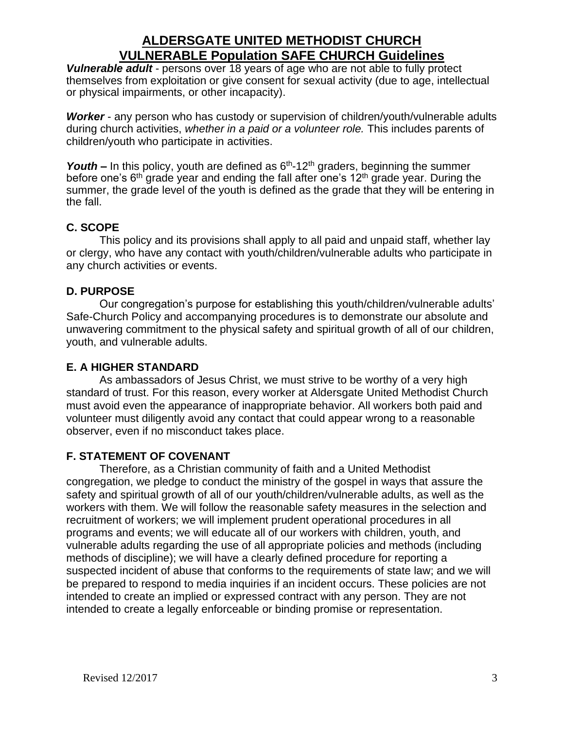*Vulnerable adult* - persons over 18 years of age who are not able to fully protect themselves from exploitation or give consent for sexual activity (due to age, intellectual or physical impairments, or other incapacity).

*Worker* - any person who has custody or supervision of children/youth/vulnerable adults during church activities, *whether in a paid or a volunteer role.* This includes parents of children/youth who participate in activities.

**Youth –** In this policy, youth are defined as  $6<sup>th</sup>$ -12<sup>th</sup> graders, beginning the summer before one's  $6<sup>th</sup>$  grade year and ending the fall after one's 12<sup>th</sup> grade year. During the summer, the grade level of the youth is defined as the grade that they will be entering in the fall.

### **C. SCOPE**

This policy and its provisions shall apply to all paid and unpaid staff, whether lay or clergy, who have any contact with youth/children/vulnerable adults who participate in any church activities or events.

### **D. PURPOSE**

Our congregation's purpose for establishing this youth/children/vulnerable adults' Safe-Church Policy and accompanying procedures is to demonstrate our absolute and unwavering commitment to the physical safety and spiritual growth of all of our children, youth, and vulnerable adults.

### **E. A HIGHER STANDARD**

As ambassadors of Jesus Christ, we must strive to be worthy of a very high standard of trust. For this reason, every worker at Aldersgate United Methodist Church must avoid even the appearance of inappropriate behavior. All workers both paid and volunteer must diligently avoid any contact that could appear wrong to a reasonable observer, even if no misconduct takes place.

### **F. STATEMENT OF COVENANT**

Therefore, as a Christian community of faith and a United Methodist congregation, we pledge to conduct the ministry of the gospel in ways that assure the safety and spiritual growth of all of our youth/children/vulnerable adults, as well as the workers with them. We will follow the reasonable safety measures in the selection and recruitment of workers; we will implement prudent operational procedures in all programs and events; we will educate all of our workers with children, youth, and vulnerable adults regarding the use of all appropriate policies and methods (including methods of discipline); we will have a clearly defined procedure for reporting a suspected incident of abuse that conforms to the requirements of state law; and we will be prepared to respond to media inquiries if an incident occurs. These policies are not intended to create an implied or expressed contract with any person. They are not intended to create a legally enforceable or binding promise or representation.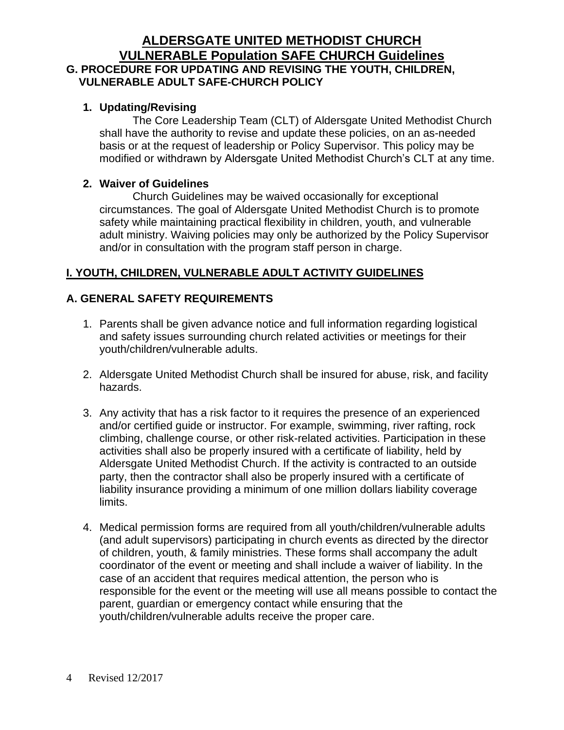### **ALDERSGATE UNITED METHODIST CHURCH VULNERABLE Population SAFE CHURCH Guidelines G. PROCEDURE FOR UPDATING AND REVISING THE YOUTH, CHILDREN, VULNERABLE ADULT SAFE-CHURCH POLICY**

#### **1. Updating/Revising**

The Core Leadership Team (CLT) of Aldersgate United Methodist Church shall have the authority to revise and update these policies, on an as-needed basis or at the request of leadership or Policy Supervisor. This policy may be modified or withdrawn by Aldersgate United Methodist Church's CLT at any time.

#### **2. Waiver of Guidelines**

Church Guidelines may be waived occasionally for exceptional circumstances. The goal of Aldersgate United Methodist Church is to promote safety while maintaining practical flexibility in children, youth, and vulnerable adult ministry. Waiving policies may only be authorized by the Policy Supervisor and/or in consultation with the program staff person in charge.

### **I. YOUTH, CHILDREN, VULNERABLE ADULT ACTIVITY GUIDELINES**

### **A. GENERAL SAFETY REQUIREMENTS**

- 1. Parents shall be given advance notice and full information regarding logistical and safety issues surrounding church related activities or meetings for their youth/children/vulnerable adults.
- 2. Aldersgate United Methodist Church shall be insured for abuse, risk, and facility hazards.
- 3. Any activity that has a risk factor to it requires the presence of an experienced and/or certified guide or instructor. For example, swimming, river rafting, rock climbing, challenge course, or other risk-related activities. Participation in these activities shall also be properly insured with a certificate of liability, held by Aldersgate United Methodist Church. If the activity is contracted to an outside party, then the contractor shall also be properly insured with a certificate of liability insurance providing a minimum of one million dollars liability coverage limits.
- 4. Medical permission forms are required from all youth/children/vulnerable adults (and adult supervisors) participating in church events as directed by the director of children, youth, & family ministries. These forms shall accompany the adult coordinator of the event or meeting and shall include a waiver of liability. In the case of an accident that requires medical attention, the person who is responsible for the event or the meeting will use all means possible to contact the parent, guardian or emergency contact while ensuring that the youth/children/vulnerable adults receive the proper care.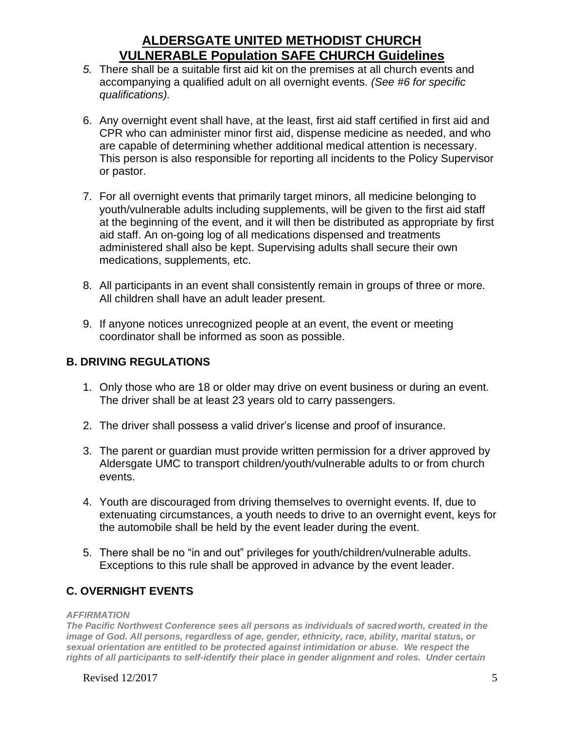- *5.* There shall be a suitable first aid kit on the premises at all church events and accompanying a qualified adult on all overnight events. *(See #6 for specific qualifications).*
- 6. Any overnight event shall have, at the least, first aid staff certified in first aid and CPR who can administer minor first aid, dispense medicine as needed, and who are capable of determining whether additional medical attention is necessary. This person is also responsible for reporting all incidents to the Policy Supervisor or pastor.
- 7. For all overnight events that primarily target minors, all medicine belonging to youth/vulnerable adults including supplements, will be given to the first aid staff at the beginning of the event, and it will then be distributed as appropriate by first aid staff. An on-going log of all medications dispensed and treatments administered shall also be kept. Supervising adults shall secure their own medications, supplements, etc.
- 8. All participants in an event shall consistently remain in groups of three or more. All children shall have an adult leader present.
- 9. If anyone notices unrecognized people at an event, the event or meeting coordinator shall be informed as soon as possible.

#### **B. DRIVING REGULATIONS**

- 1. Only those who are 18 or older may drive on event business or during an event. The driver shall be at least 23 years old to carry passengers.
- 2. The driver shall possess a valid driver's license and proof of insurance.
- 3. The parent or guardian must provide written permission for a driver approved by Aldersgate UMC to transport children/youth/vulnerable adults to or from church events.
- 4. Youth are discouraged from driving themselves to overnight events. If, due to extenuating circumstances, a youth needs to drive to an overnight event, keys for the automobile shall be held by the event leader during the event.
- 5. There shall be no "in and out" privileges for youth/children/vulnerable adults. Exceptions to this rule shall be approved in advance by the event leader.

### **C. OVERNIGHT EVENTS**

#### *AFFIRMATION*

*The Pacific Northwest Conference sees all persons as individuals of sacredworth, created in the image of God. All persons, regardless of age, gender, ethnicity, race, ability, marital status, or sexual orientation are entitled to be protected against intimidation or abuse. We respect the rights of all participants to self-identify their place in gender alignment and roles. Under certain* 

Revised  $12/2017$  5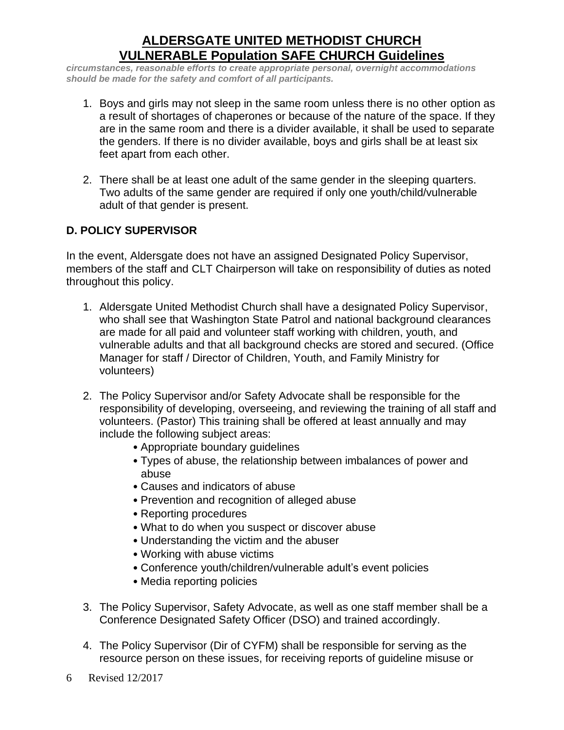*circumstances, reasonable efforts to create appropriate personal, overnight accommodations should be made for the safety and comfort of all participants.* 

- 1. Boys and girls may not sleep in the same room unless there is no other option as a result of shortages of chaperones or because of the nature of the space. If they are in the same room and there is a divider available, it shall be used to separate the genders. If there is no divider available, boys and girls shall be at least six feet apart from each other.
- 2. There shall be at least one adult of the same gender in the sleeping quarters. Two adults of the same gender are required if only one youth/child/vulnerable adult of that gender is present.

### **D. POLICY SUPERVISOR**

In the event, Aldersgate does not have an assigned Designated Policy Supervisor, members of the staff and CLT Chairperson will take on responsibility of duties as noted throughout this policy.

- 1. Aldersgate United Methodist Church shall have a designated Policy Supervisor, who shall see that Washington State Patrol and national background clearances are made for all paid and volunteer staff working with children, youth, and vulnerable adults and that all background checks are stored and secured. (Office Manager for staff / Director of Children, Youth, and Family Ministry for volunteers)
- 2. The Policy Supervisor and/or Safety Advocate shall be responsible for the responsibility of developing, overseeing, and reviewing the training of all staff and volunteers. (Pastor) This training shall be offered at least annually and may include the following subject areas:
	- Appropriate boundary guidelines
	- Types of abuse, the relationship between imbalances of power and abuse
	- Causes and indicators of abuse
	- Prevention and recognition of alleged abuse
	- Reporting procedures
	- What to do when you suspect or discover abuse
	- Understanding the victim and the abuser
	- Working with abuse victims
	- Conference youth/children/vulnerable adult's event policies
	- Media reporting policies
- 3. The Policy Supervisor, Safety Advocate, as well as one staff member shall be a Conference Designated Safety Officer (DSO) and trained accordingly.
- 4. The Policy Supervisor (Dir of CYFM) shall be responsible for serving as the resource person on these issues, for receiving reports of guideline misuse or
- 6 Revised 12/2017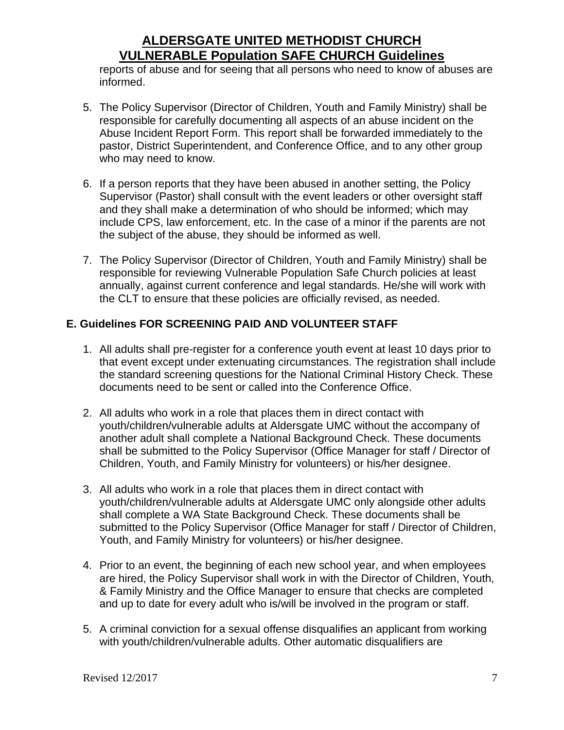reports of abuse and for seeing that all persons who need to know of abuses are informed.

- 5. The Policy Supervisor (Director of Children, Youth and Family Ministry) shall be responsible for carefully documenting all aspects of an abuse incident on the Abuse Incident Report Form. This report shall be forwarded immediately to the pastor, District Superintendent, and Conference Office, and to any other group who may need to know.
- 6. If a person reports that they have been abused in another setting, the Policy Supervisor (Pastor) shall consult with the event leaders or other oversight staff and they shall make a determination of who should be informed; which may include CPS, law enforcement, etc. In the case of a minor if the parents are not the subject of the abuse, they should be informed as well.
- 7. The Policy Supervisor (Director of Children, Youth and Family Ministry) shall be responsible for reviewing Vulnerable Population Safe Church policies at least annually, against current conference and legal standards. He/she will work with the CLT to ensure that these policies are officially revised, as needed.

#### **E. Guidelines FOR SCREENING PAID AND VOLUNTEER STAFF**

- 1. All adults shall pre-register for a conference youth event at least 10 days prior to that event except under extenuating circumstances. The registration shall include the standard screening questions for the National Criminal History Check. These documents need to be sent or called into the Conference Office.
- 2. All adults who work in a role that places them in direct contact with youth/children/vulnerable adults at Aldersgate UMC without the accompany of another adult shall complete a National Background Check. These documents shall be submitted to the Policy Supervisor (Office Manager for staff / Director of Children, Youth, and Family Ministry for volunteers) or his/her designee.
- 3. All adults who work in a role that places them in direct contact with youth/children/vulnerable adults at Aldersgate UMC only alongside other adults shall complete a WA State Background Check. These documents shall be submitted to the Policy Supervisor (Office Manager for staff / Director of Children, Youth, and Family Ministry for volunteers) or his/her designee.
- 4. Prior to an event, the beginning of each new school year, and when employees are hired, the Policy Supervisor shall work in with the Director of Children, Youth, & Family Ministry and the Office Manager to ensure that checks are completed and up to date for every adult who is/will be involved in the program or staff.
- 5. A criminal conviction for a sexual offense disqualifies an applicant from working with youth/children/vulnerable adults. Other automatic disqualifiers are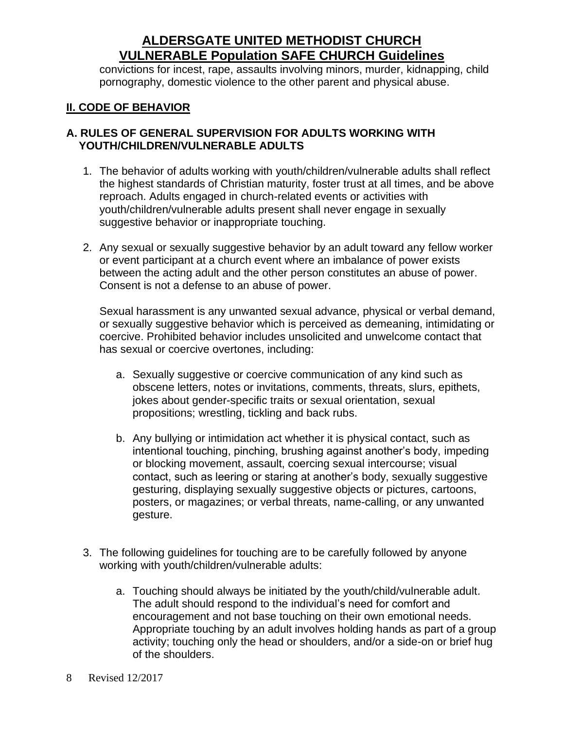convictions for incest, rape, assaults involving minors, murder, kidnapping, child pornography, domestic violence to the other parent and physical abuse.

#### **II. CODE OF BEHAVIOR**

#### **A. RULES OF GENERAL SUPERVISION FOR ADULTS WORKING WITH YOUTH/CHILDREN/VULNERABLE ADULTS**

- 1. The behavior of adults working with youth/children/vulnerable adults shall reflect the highest standards of Christian maturity, foster trust at all times, and be above reproach. Adults engaged in church-related events or activities with youth/children/vulnerable adults present shall never engage in sexually suggestive behavior or inappropriate touching.
- 2. Any sexual or sexually suggestive behavior by an adult toward any fellow worker or event participant at a church event where an imbalance of power exists between the acting adult and the other person constitutes an abuse of power. Consent is not a defense to an abuse of power.

Sexual harassment is any unwanted sexual advance, physical or verbal demand, or sexually suggestive behavior which is perceived as demeaning, intimidating or coercive. Prohibited behavior includes unsolicited and unwelcome contact that has sexual or coercive overtones, including:

- a. Sexually suggestive or coercive communication of any kind such as obscene letters, notes or invitations, comments, threats, slurs, epithets, jokes about gender-specific traits or sexual orientation, sexual propositions; wrestling, tickling and back rubs.
- b. Any bullying or intimidation act whether it is physical contact, such as intentional touching, pinching, brushing against another's body, impeding or blocking movement, assault, coercing sexual intercourse; visual contact, such as leering or staring at another's body, sexually suggestive gesturing, displaying sexually suggestive objects or pictures, cartoons, posters, or magazines; or verbal threats, name-calling, or any unwanted gesture.
- 3. The following guidelines for touching are to be carefully followed by anyone working with youth/children/vulnerable adults:
	- a. Touching should always be initiated by the youth/child/vulnerable adult. The adult should respond to the individual's need for comfort and encouragement and not base touching on their own emotional needs. Appropriate touching by an adult involves holding hands as part of a group activity; touching only the head or shoulders, and/or a side-on or brief hug of the shoulders.
- 8 Revised 12/2017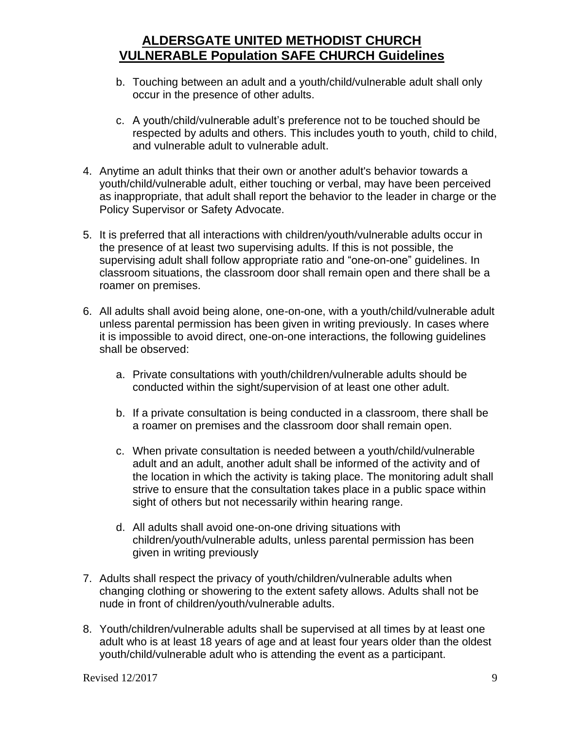- b. Touching between an adult and a youth/child/vulnerable adult shall only occur in the presence of other adults.
- c. A youth/child/vulnerable adult's preference not to be touched should be respected by adults and others. This includes youth to youth, child to child, and vulnerable adult to vulnerable adult.
- 4. Anytime an adult thinks that their own or another adult's behavior towards a youth/child/vulnerable adult, either touching or verbal, may have been perceived as inappropriate, that adult shall report the behavior to the leader in charge or the Policy Supervisor or Safety Advocate.
- 5. It is preferred that all interactions with children/youth/vulnerable adults occur in the presence of at least two supervising adults. If this is not possible, the supervising adult shall follow appropriate ratio and "one-on-one" guidelines. In classroom situations, the classroom door shall remain open and there shall be a roamer on premises.
- 6. All adults shall avoid being alone, one-on-one, with a youth/child/vulnerable adult unless parental permission has been given in writing previously. In cases where it is impossible to avoid direct, one-on-one interactions, the following guidelines shall be observed:
	- a. Private consultations with youth/children/vulnerable adults should be conducted within the sight/supervision of at least one other adult.
	- b. If a private consultation is being conducted in a classroom, there shall be a roamer on premises and the classroom door shall remain open.
	- c. When private consultation is needed between a youth/child/vulnerable adult and an adult, another adult shall be informed of the activity and of the location in which the activity is taking place. The monitoring adult shall strive to ensure that the consultation takes place in a public space within sight of others but not necessarily within hearing range.
	- d. All adults shall avoid one-on-one driving situations with children/youth/vulnerable adults, unless parental permission has been given in writing previously
- 7. Adults shall respect the privacy of youth/children/vulnerable adults when changing clothing or showering to the extent safety allows. Adults shall not be nude in front of children/youth/vulnerable adults.
- 8. Youth/children/vulnerable adults shall be supervised at all times by at least one adult who is at least 18 years of age and at least four years older than the oldest youth/child/vulnerable adult who is attending the event as a participant.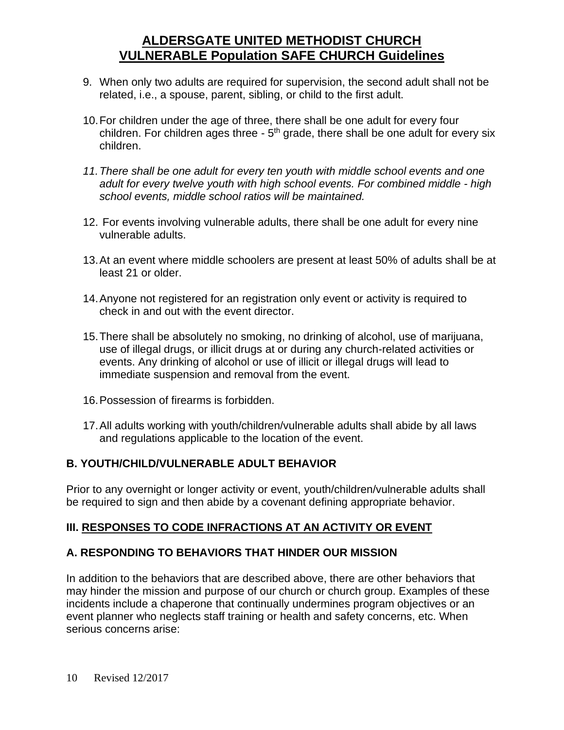- 9. When only two adults are required for supervision, the second adult shall not be related, i.e., a spouse, parent, sibling, or child to the first adult.
- 10.For children under the age of three, there shall be one adult for every four children. For children ages three -  $5<sup>th</sup>$  grade, there shall be one adult for every six children.
- *11.There shall be one adult for every ten youth with middle school events and one adult for every twelve youth with high school events. For combined middle - high school events, middle school ratios will be maintained.*
- 12. For events involving vulnerable adults, there shall be one adult for every nine vulnerable adults.
- 13.At an event where middle schoolers are present at least 50% of adults shall be at least 21 or older.
- 14.Anyone not registered for an registration only event or activity is required to check in and out with the event director.
- 15.There shall be absolutely no smoking, no drinking of alcohol, use of marijuana, use of illegal drugs, or illicit drugs at or during any church-related activities or events. Any drinking of alcohol or use of illicit or illegal drugs will lead to immediate suspension and removal from the event.
- 16.Possession of firearms is forbidden.
- 17.All adults working with youth/children/vulnerable adults shall abide by all laws and regulations applicable to the location of the event.

### **B. YOUTH/CHILD/VULNERABLE ADULT BEHAVIOR**

Prior to any overnight or longer activity or event, youth/children/vulnerable adults shall be required to sign and then abide by a covenant defining appropriate behavior.

### **III. RESPONSES TO CODE INFRACTIONS AT AN ACTIVITY OR EVENT**

### **A. RESPONDING TO BEHAVIORS THAT HINDER OUR MISSION**

In addition to the behaviors that are described above, there are other behaviors that may hinder the mission and purpose of our church or church group. Examples of these incidents include a chaperone that continually undermines program objectives or an event planner who neglects staff training or health and safety concerns, etc. When serious concerns arise: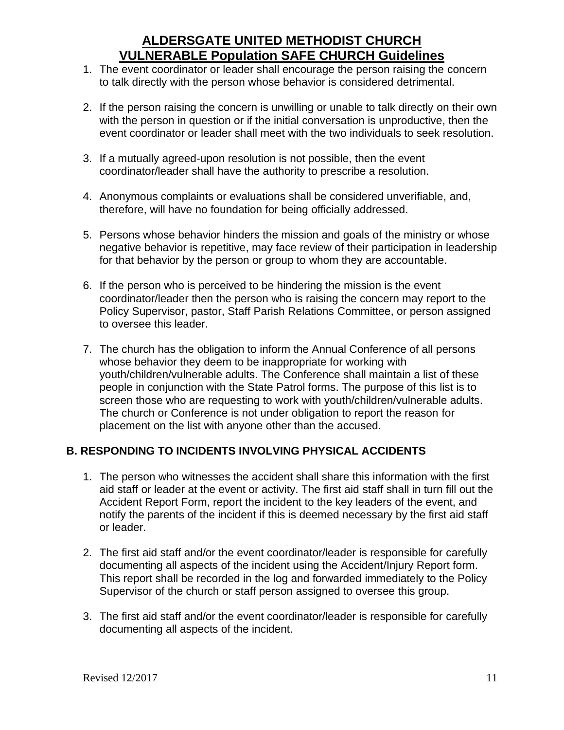- 1. The event coordinator or leader shall encourage the person raising the concern to talk directly with the person whose behavior is considered detrimental.
- 2. If the person raising the concern is unwilling or unable to talk directly on their own with the person in question or if the initial conversation is unproductive, then the event coordinator or leader shall meet with the two individuals to seek resolution.
- 3. If a mutually agreed-upon resolution is not possible, then the event coordinator/leader shall have the authority to prescribe a resolution.
- 4. Anonymous complaints or evaluations shall be considered unverifiable, and, therefore, will have no foundation for being officially addressed.
- 5. Persons whose behavior hinders the mission and goals of the ministry or whose negative behavior is repetitive, may face review of their participation in leadership for that behavior by the person or group to whom they are accountable.
- 6. If the person who is perceived to be hindering the mission is the event coordinator/leader then the person who is raising the concern may report to the Policy Supervisor, pastor, Staff Parish Relations Committee, or person assigned to oversee this leader.
- 7. The church has the obligation to inform the Annual Conference of all persons whose behavior they deem to be inappropriate for working with youth/children/vulnerable adults. The Conference shall maintain a list of these people in conjunction with the State Patrol forms. The purpose of this list is to screen those who are requesting to work with youth/children/vulnerable adults. The church or Conference is not under obligation to report the reason for placement on the list with anyone other than the accused.

### **B. RESPONDING TO INCIDENTS INVOLVING PHYSICAL ACCIDENTS**

- 1. The person who witnesses the accident shall share this information with the first aid staff or leader at the event or activity. The first aid staff shall in turn fill out the Accident Report Form, report the incident to the key leaders of the event, and notify the parents of the incident if this is deemed necessary by the first aid staff or leader.
- 2. The first aid staff and/or the event coordinator/leader is responsible for carefully documenting all aspects of the incident using the Accident/Injury Report form. This report shall be recorded in the log and forwarded immediately to the Policy Supervisor of the church or staff person assigned to oversee this group.
- 3. The first aid staff and/or the event coordinator/leader is responsible for carefully documenting all aspects of the incident.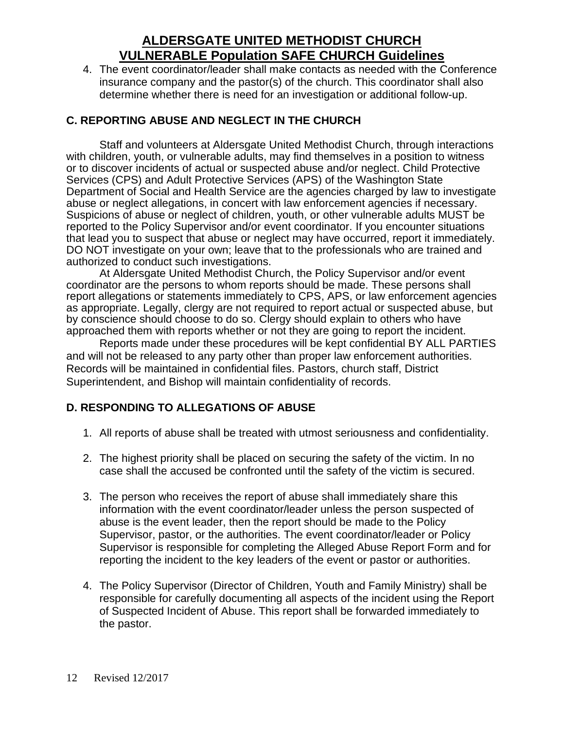4. The event coordinator/leader shall make contacts as needed with the Conference insurance company and the pastor(s) of the church. This coordinator shall also determine whether there is need for an investigation or additional follow-up.

### **C. REPORTING ABUSE AND NEGLECT IN THE CHURCH**

Staff and volunteers at Aldersgate United Methodist Church, through interactions with children, youth, or vulnerable adults, may find themselves in a position to witness or to discover incidents of actual or suspected abuse and/or neglect. Child Protective Services (CPS) and Adult Protective Services (APS) of the Washington State Department of Social and Health Service are the agencies charged by law to investigate abuse or neglect allegations, in concert with law enforcement agencies if necessary. Suspicions of abuse or neglect of children, youth, or other vulnerable adults MUST be reported to the Policy Supervisor and/or event coordinator. If you encounter situations that lead you to suspect that abuse or neglect may have occurred, report it immediately. DO NOT investigate on your own; leave that to the professionals who are trained and authorized to conduct such investigations.

At Aldersgate United Methodist Church, the Policy Supervisor and/or event coordinator are the persons to whom reports should be made. These persons shall report allegations or statements immediately to CPS, APS, or law enforcement agencies as appropriate. Legally, clergy are not required to report actual or suspected abuse, but by conscience should choose to do so. Clergy should explain to others who have approached them with reports whether or not they are going to report the incident.

Reports made under these procedures will be kept confidential BY ALL PARTIES and will not be released to any party other than proper law enforcement authorities. Records will be maintained in confidential files. Pastors, church staff, District Superintendent, and Bishop will maintain confidentiality of records.

### **D. RESPONDING TO ALLEGATIONS OF ABUSE**

- 1. All reports of abuse shall be treated with utmost seriousness and confidentiality.
- 2. The highest priority shall be placed on securing the safety of the victim. In no case shall the accused be confronted until the safety of the victim is secured.
- 3. The person who receives the report of abuse shall immediately share this information with the event coordinator/leader unless the person suspected of abuse is the event leader, then the report should be made to the Policy Supervisor, pastor, or the authorities. The event coordinator/leader or Policy Supervisor is responsible for completing the Alleged Abuse Report Form and for reporting the incident to the key leaders of the event or pastor or authorities.
- 4. The Policy Supervisor (Director of Children, Youth and Family Ministry) shall be responsible for carefully documenting all aspects of the incident using the Report of Suspected Incident of Abuse. This report shall be forwarded immediately to the pastor.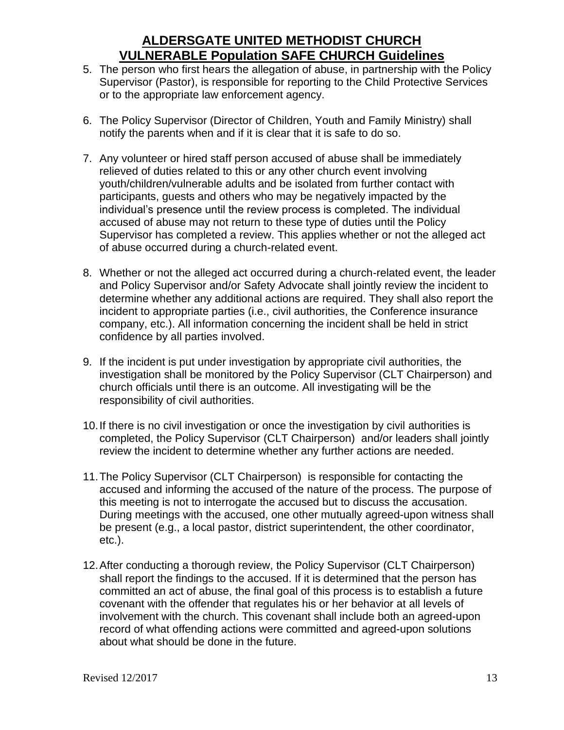- 5. The person who first hears the allegation of abuse, in partnership with the Policy Supervisor (Pastor), is responsible for reporting to the Child Protective Services or to the appropriate law enforcement agency.
- 6. The Policy Supervisor (Director of Children, Youth and Family Ministry) shall notify the parents when and if it is clear that it is safe to do so.
- 7. Any volunteer or hired staff person accused of abuse shall be immediately relieved of duties related to this or any other church event involving youth/children/vulnerable adults and be isolated from further contact with participants, guests and others who may be negatively impacted by the individual's presence until the review process is completed. The individual accused of abuse may not return to these type of duties until the Policy Supervisor has completed a review. This applies whether or not the alleged act of abuse occurred during a church-related event.
- 8. Whether or not the alleged act occurred during a church-related event, the leader and Policy Supervisor and/or Safety Advocate shall jointly review the incident to determine whether any additional actions are required. They shall also report the incident to appropriate parties (i.e., civil authorities, the Conference insurance company, etc.). All information concerning the incident shall be held in strict confidence by all parties involved.
- 9. If the incident is put under investigation by appropriate civil authorities, the investigation shall be monitored by the Policy Supervisor (CLT Chairperson) and church officials until there is an outcome. All investigating will be the responsibility of civil authorities.
- 10.If there is no civil investigation or once the investigation by civil authorities is completed, the Policy Supervisor (CLT Chairperson) and/or leaders shall jointly review the incident to determine whether any further actions are needed.
- 11.The Policy Supervisor (CLT Chairperson) is responsible for contacting the accused and informing the accused of the nature of the process. The purpose of this meeting is not to interrogate the accused but to discuss the accusation. During meetings with the accused, one other mutually agreed-upon witness shall be present (e.g., a local pastor, district superintendent, the other coordinator, etc.).
- 12.After conducting a thorough review, the Policy Supervisor (CLT Chairperson) shall report the findings to the accused. If it is determined that the person has committed an act of abuse, the final goal of this process is to establish a future covenant with the offender that regulates his or her behavior at all levels of involvement with the church. This covenant shall include both an agreed-upon record of what offending actions were committed and agreed-upon solutions about what should be done in the future.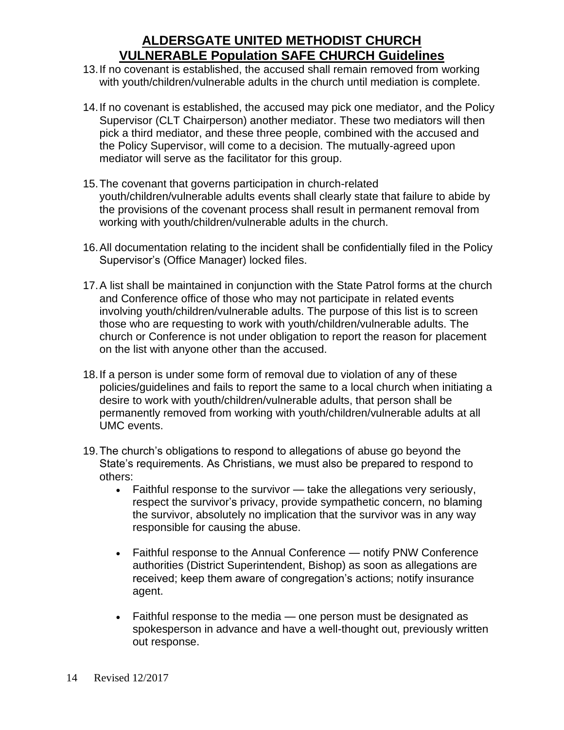- 13.If no covenant is established, the accused shall remain removed from working with youth/children/vulnerable adults in the church until mediation is complete.
- 14.If no covenant is established, the accused may pick one mediator, and the Policy Supervisor (CLT Chairperson) another mediator. These two mediators will then pick a third mediator, and these three people, combined with the accused and the Policy Supervisor, will come to a decision. The mutually-agreed upon mediator will serve as the facilitator for this group.
- 15.The covenant that governs participation in church-related youth/children/vulnerable adults events shall clearly state that failure to abide by the provisions of the covenant process shall result in permanent removal from working with youth/children/vulnerable adults in the church.
- 16.All documentation relating to the incident shall be confidentially filed in the Policy Supervisor's (Office Manager) locked files.
- 17.A list shall be maintained in conjunction with the State Patrol forms at the church and Conference office of those who may not participate in related events involving youth/children/vulnerable adults. The purpose of this list is to screen those who are requesting to work with youth/children/vulnerable adults. The church or Conference is not under obligation to report the reason for placement on the list with anyone other than the accused.
- 18.If a person is under some form of removal due to violation of any of these policies/guidelines and fails to report the same to a local church when initiating a desire to work with youth/children/vulnerable adults, that person shall be permanently removed from working with youth/children/vulnerable adults at all UMC events.
- 19.The church's obligations to respond to allegations of abuse go beyond the State's requirements. As Christians, we must also be prepared to respond to others:
	- Faithful response to the survivor take the allegations very seriously, respect the survivor's privacy, provide sympathetic concern, no blaming the survivor, absolutely no implication that the survivor was in any way responsible for causing the abuse.
	- Faithful response to the Annual Conference notify PNW Conference authorities (District Superintendent, Bishop) as soon as allegations are received; keep them aware of congregation's actions; notify insurance agent.
	- Faithful response to the media one person must be designated as spokesperson in advance and have a well-thought out, previously written out response.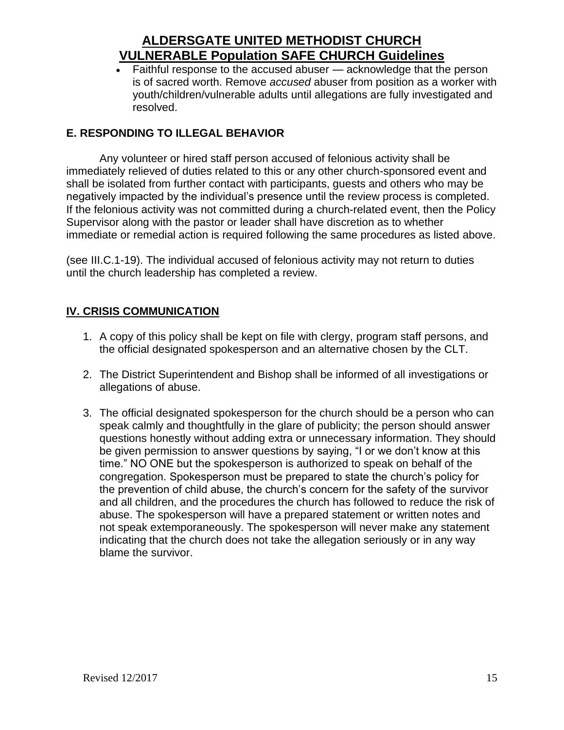• Faithful response to the accused abuser — acknowledge that the person is of sacred worth. Remove *accused* abuser from position as a worker with youth/children/vulnerable adults until allegations are fully investigated and resolved.

### **E. RESPONDING TO ILLEGAL BEHAVIOR**

Any volunteer or hired staff person accused of felonious activity shall be immediately relieved of duties related to this or any other church-sponsored event and shall be isolated from further contact with participants, guests and others who may be negatively impacted by the individual's presence until the review process is completed. If the felonious activity was not committed during a church-related event, then the Policy Supervisor along with the pastor or leader shall have discretion as to whether immediate or remedial action is required following the same procedures as listed above.

(see III.C.1-19). The individual accused of felonious activity may not return to duties until the church leadership has completed a review.

### **IV. CRISIS COMMUNICATION**

- 1. A copy of this policy shall be kept on file with clergy, program staff persons, and the official designated spokesperson and an alternative chosen by the CLT.
- 2. The District Superintendent and Bishop shall be informed of all investigations or allegations of abuse.
- 3. The official designated spokesperson for the church should be a person who can speak calmly and thoughtfully in the glare of publicity; the person should answer questions honestly without adding extra or unnecessary information. They should be given permission to answer questions by saying, "I or we don't know at this time." NO ONE but the spokesperson is authorized to speak on behalf of the congregation. Spokesperson must be prepared to state the church's policy for the prevention of child abuse, the church's concern for the safety of the survivor and all children, and the procedures the church has followed to reduce the risk of abuse. The spokesperson will have a prepared statement or written notes and not speak extemporaneously. The spokesperson will never make any statement indicating that the church does not take the allegation seriously or in any way blame the survivor.